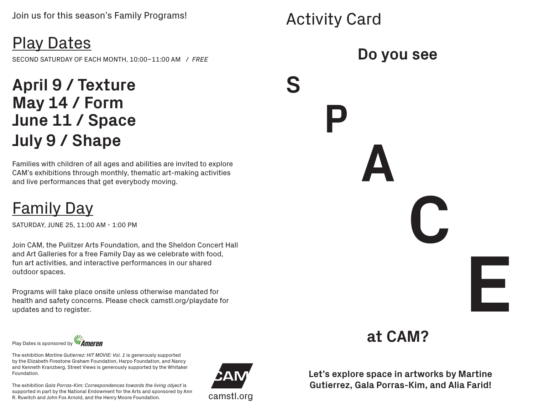Activity Card

**P**

**S**

# Play Dates

SECOND SATURDAY OF EACH MONTH, 10:00–11:00 AM / *FREE*

### **April 9 / Texture May 14 / Form June 11 / Space July 9 / Shape**

Families with children of all ages and abilities are invited to explore CAM's exhibitions through monthly, thematic art-making activities and live performances that get everybody moving.

## Family Day

SATURDAY, JUNE 25, 11:00 AM - 1:00 PM

Join CAM, the Pulitzer Arts Foundation, and the Sheldon Concert Hall and Art Galleries for a free Family Day as we celebrate with food, fun art activities, and interactive performances in our shared outdoor spaces.

Programs will take place onsite unless otherwise mandated for health and safety concerns. Please check camstl.org/playdate for updates and to register.

Play Dates is sponsored by **Ameren** 

The exhibition *Martine Gutierrez: HIT MOVIE: Vol. 1* is generously supported by the Elizabeth Firestone Graham Foundation, Harpo Foundation, and Nancy and Kenneth Kranzberg. Street Views is generously supported by the Whitaker Foundation.

The exhibition *Gala Porras-Kim: Correspondences towards the living object* is supported in part by the National Endowment for the Arts and sponsored by Ann R. Ruwitch and John Fox Arnold, and the Henry Moore Foundation. Camstl.org



#### **Do you see**

**A**



**C**

**E**

**Let's explore space in artworks by Martine Gutierrez, Gala Porras-Kim, and Alia Farid!**